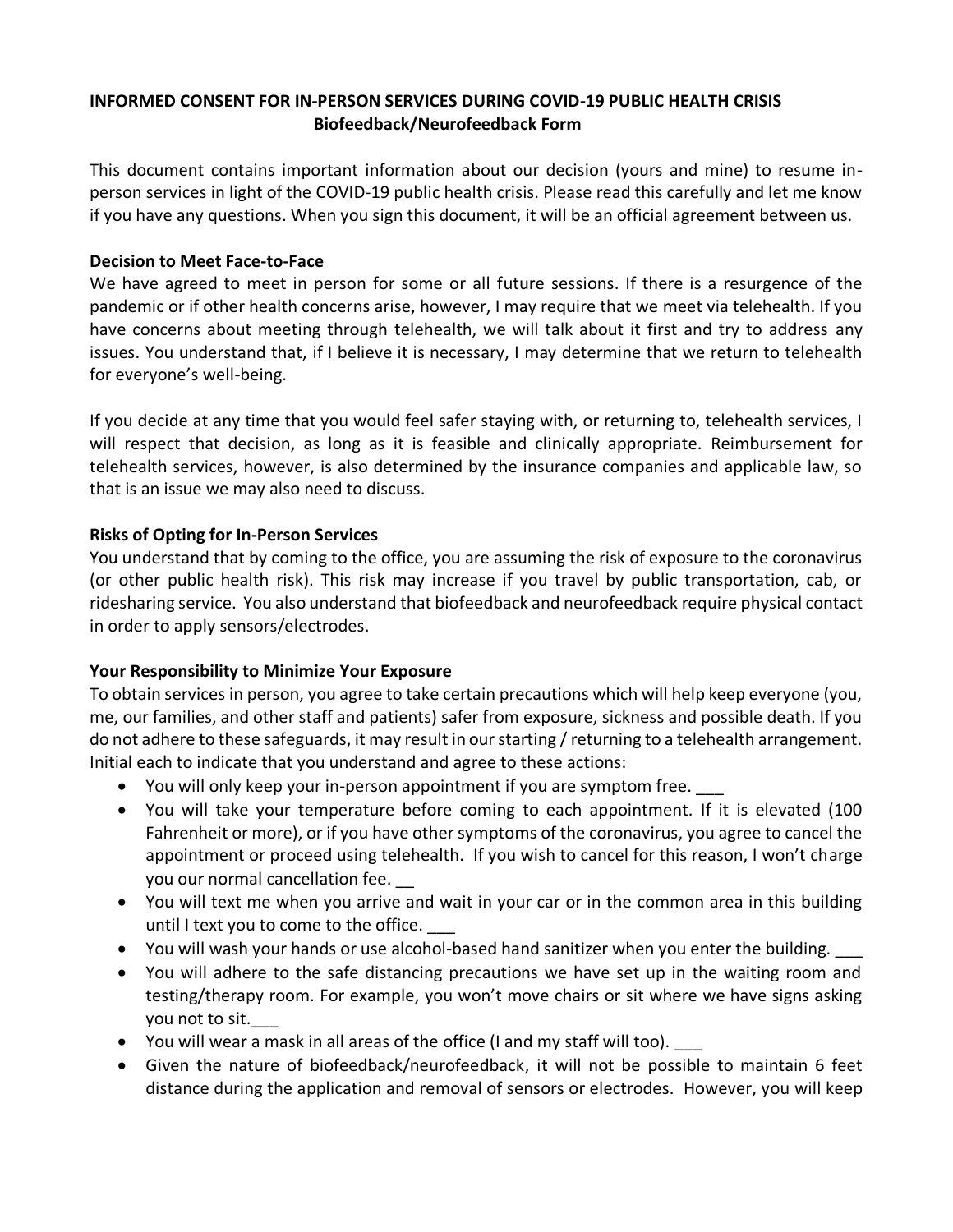## **INFORMED CONSENT FOR IN-PERSON SERVICES DURING COVID-19 PUBLIC HEALTH CRISIS Biofeedback/Neurofeedback Form**

This document contains important information about our decision (yours and mine) to resume inperson services in light of the COVID-19 public health crisis. Please read this carefully and let me know if you have any questions. When you sign this document, it will be an official agreement between us.

#### **Decision to Meet Face-to-Face**

We have agreed to meet in person for some or all future sessions. If there is a resurgence of the pandemic or if other health concerns arise, however, I may require that we meet via telehealth. If you have concerns about meeting through telehealth, we will talk about it first and try to address any issues. You understand that, if I believe it is necessary, I may determine that we return to telehealth for everyone's well-being.

If you decide at any time that you would feel safer staying with, or returning to, telehealth services, I will respect that decision, as long as it is feasible and clinically appropriate. Reimbursement for telehealth services, however, is also determined by the insurance companies and applicable law, so that is an issue we may also need to discuss.

#### **Risks of Opting for In-Person Services**

You understand that by coming to the office, you are assuming the risk of exposure to the coronavirus (or other public health risk). This risk may increase if you travel by public transportation, cab, or ridesharing service. You also understand that biofeedback and neurofeedback require physical contact in order to apply sensors/electrodes.

### **Your Responsibility to Minimize Your Exposure**

To obtain services in person, you agree to take certain precautions which will help keep everyone (you, me, our families, and other staff and patients) safer from exposure, sickness and possible death. If you do not adhere to these safeguards, it may result in our starting / returning to a telehealth arrangement. Initial each to indicate that you understand and agree to these actions:

- You will only keep your in-person appointment if you are symptom free.
- You will take your temperature before coming to each appointment. If it is elevated (100 Fahrenheit or more), or if you have other symptoms of the coronavirus, you agree to cancel the appointment or proceed using telehealth. If you wish to cancel for this reason, I won't charge you our normal cancellation fee.
- You will text me when you arrive and wait in your car or in the common area in this building until I text you to come to the office.
- You will wash your hands or use alcohol-based hand sanitizer when you enter the building.
- You will adhere to the safe distancing precautions we have set up in the waiting room and testing/therapy room. For example, you won't move chairs or sit where we have signs asking you not to sit.
- You will wear a mask in all areas of the office (I and my staff will too).
- Given the nature of biofeedback/neurofeedback, it will not be possible to maintain 6 feet distance during the application and removal of sensors or electrodes. However, you will keep